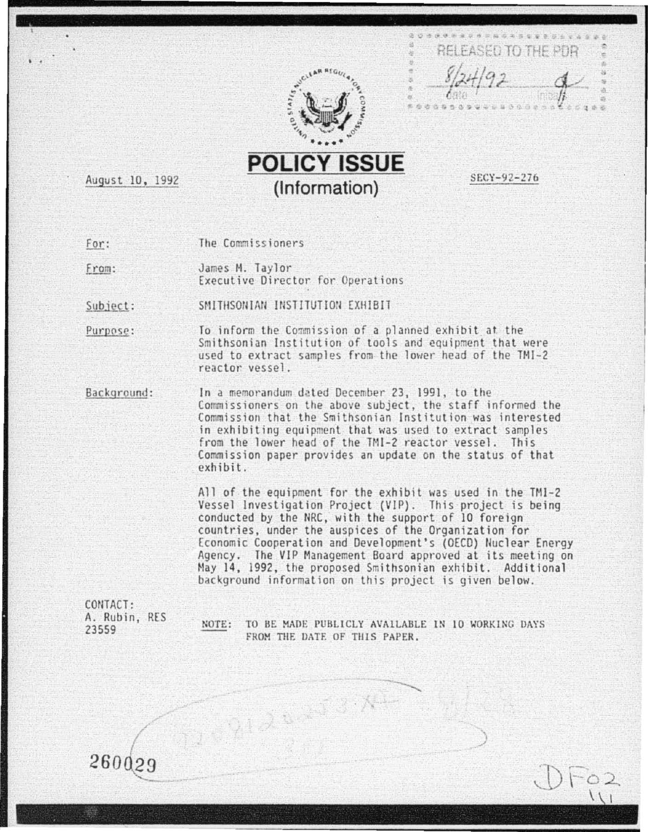





August 10, 1992

..

SECY-92-276

For: The Commissioners

From: James 11. Taylor Executive Director for Operations

SMITHSONIAN INSTITUTION EXHIBIT Subject:

To inform the Commission of a planned exhibit at the Purpose: Smithsonian Institution of tools and equipment that were used to extract samples from the lower head of the TMI-2 reactor vessel .

Background: In a memorandum dated December 23, 1991, to the Commiss ioners on the above subject, the staff informed the Commission that the Smithsonian Institution was interested in exhibiting equipment that was used to extract samples from the lower head of the THI-2 reactor vessel. This Commission paper provides an update on the status of that exhibit.

All of the equipment for the exhibit was used in the TMI-2 Vessel Investigation Project (VIP). This project is being conducted by the NRC, with the support of 10 foreign countries, under the auspices of the Organization for Economic Cooperation and Development's (DECO) Nuclear Energy Agency. The VIP Management Board approved at its meeting on May 14, 1992, the proposed Smithsonian exhibit. Additional background information on this project is given below.

CONTACT: A. Rubin, RES 23559

NOTE: TO BE MADE PUBLICLY AVAILABLE IN 10 WORKING DAYS FROM THE DATE OF THIS PAPER.

)

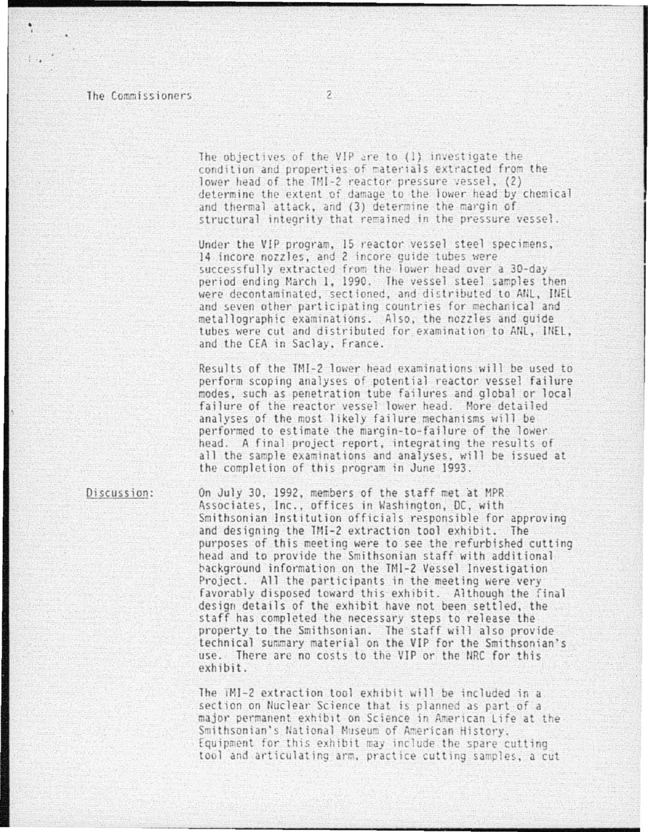The objectives of the VIP are to (1) investigate the condition and properties of materials extracted from the lower head of the TMI-2 reactor pressure vessel, (2) determine the extent of damage to the lower head by chemical and thermal attack, and (3) determine the margin of structural integrity that remained in the pressure vessel.

Under the VIP program, 15 reactor vessel steel specimens, 14 incore nozzles, and 2 incore guide tubes were successfully extracted from the lower head over a 30-day period ending March 1, 1990. The vessel steel samples then were decontaminated, sectioned, and distributed to ANL, INEL and seven other participating countries for mechanical and metallographic examinations. Also, the nozzles and quide tubes were cut and distributed for examination to ANL, INEL, and the CEA in Saclay, France.

Results of the TMI-2 lower head examinations will be used to perform scoping analyses of potential reactor vessel failure modes, such as penetration tube failures and global or local failure of the reactor vessel lower head. More detailed analyses of the most likely failure mechanisms will be performed to estimate the margin-to-failure of the lower head. A final project report, integrating the results of all the sample examinations and analyses, will be issued at the completion of this program in June 1993.

Discussion:

On July 30, 1992, members of the staff met at MPR Associates, Inc., offices in Washington, DC, with Smithsonian Institution officials responsible for approving and designing the TMI-2 extraction tool exhibit. The purposes of this meeting were to see the refurbished cutting head and to provide the Smithsonian staff with additional background information on the TM1-2 Vessel Investigation Project. All the participants in the meeting were very favorably disposed toward this exhibit. Although the final design details of the exhibit have not been settled, the staff has completed the necessary steps to release the property to the Smithsonian. The staff will also provide technical summary material on the VIP for the Smithsonian's use. There are no costs to the VIP or the NRC for this exhibit.

The TMI-2 extraction tool exhibit will be included in a section on Nuclear Science that is planned as part of a major permanent exhibit on Science in American Life at the Smithsonian's National Museum of American History. Equipment for this exhibit may include the spare cutting tool and articulating arm, practice cutting samples, a cut